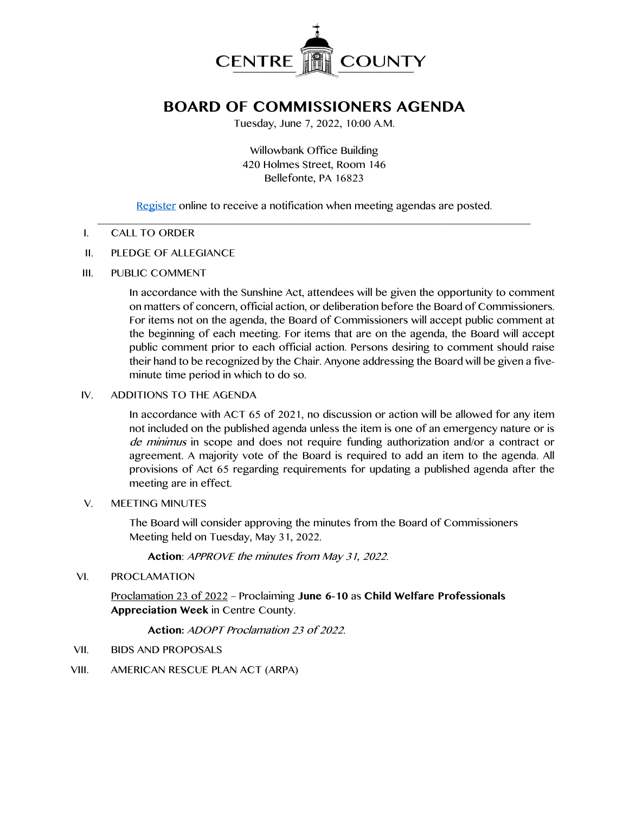

# **BOARD OF COMMISSIONERS AGENDA**

Tuesday, June 7, 2022, 10:00 A.M.

Willowbank Office Building 420 Holmes Street, Room 146 Bellefonte, PA 16823

[Register](http://www.centrecountypa.gov/AgendaCenter) online to receive a notification when meeting agendas are posted.

#### $\overline{\phantom{a}}$  , and the contribution of the contribution of the contribution of the contribution of the contribution of the contribution of the contribution of the contribution of the contribution of the contribution of the I. CALL TO ORDER

- II. PLEDGE OF ALLEGIANCE
- III. PUBLIC COMMENT

In accordance with the Sunshine Act, attendees will be given the opportunity to comment on matters of concern, official action, or deliberation before the Board of Commissioners. For items not on the agenda, the Board of Commissioners will accept public comment at the beginning of each meeting. For items that are on the agenda, the Board will accept public comment prior to each official action. Persons desiring to comment should raise their hand to be recognized by the Chair. Anyone addressing the Board will be given a fiveminute time period in which to do so.

## IV. ADDITIONS TO THE AGENDA

In accordance with ACT 65 of 2021, no discussion or action will be allowed for any item not included on the published agenda unless the item is one of an emergency nature or is de minimus in scope and does not require funding authorization and/or a contract or agreement. A majority vote of the Board is required to add an item to the agenda. All provisions of Act 65 regarding requirements for updating a published agenda after the meeting are in effect.

### V. MEETING MINUTES

The Board will consider approving the minutes from the Board of Commissioners Meeting held on Tuesday, May 31, 2022.

**Action**: APPROVE the minutes from May 31, 2022.

VI. PROCLAMATION

## Proclamation 23 of 2022 – Proclaiming **June 6-10** as **Child Welfare Professionals Appreciation Week** in Centre County.

## **Action:** ADOPT Proclamation 23 of 2022.

- VII. BIDS AND PROPOSALS
- VIII. AMERICAN RESCUE PLAN ACT (ARPA)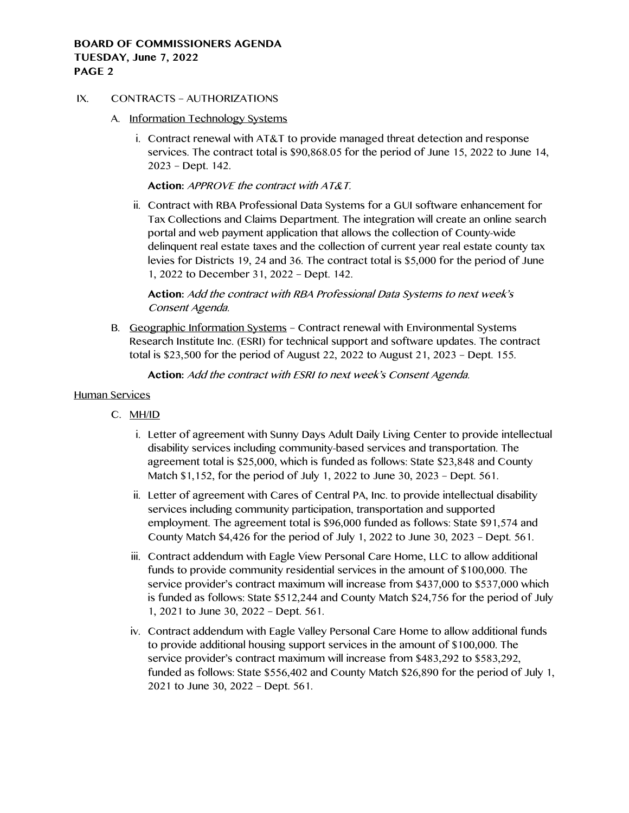### IX. CONTRACTS – AUTHORIZATIONS

- A. Information Technology Systems
	- i. Contract renewal with AT&T to provide managed threat detection and response services. The contract total is \$90,868.05 for the period of June 15, 2022 to June 14, 2023 – Dept. 142.

**Action:** APPROVE the contract with AT&T.

ii. Contract with RBA Professional Data Systems for a GUI software enhancement for Tax Collections and Claims Department. The integration will create an online search portal and web payment application that allows the collection of County-wide delinquent real estate taxes and the collection of current year real estate county tax levies for Districts 19, 24 and 36. The contract total is \$5,000 for the period of June 1, 2022 to December 31, 2022 – Dept. 142.

**Action:** Add the contract with RBA Professional Data Systems to next week's Consent Agenda.

B. Geographic Information Systems – Contract renewal with Environmental Systems Research Institute Inc. (ESRI) for technical support and software updates. The contract total is \$23,500 for the period of August 22, 2022 to August 21, 2023 – Dept. 155.

**Action:** Add the contract with ESRI to next week's Consent Agenda.

### Human Services

- C. MH/ID
	- i. Letter of agreement with Sunny Days Adult Daily Living Center to provide intellectual disability services including community-based services and transportation. The agreement total is \$25,000, which is funded as follows: State \$23,848 and County Match \$1,152, for the period of July 1, 2022 to June 30, 2023 – Dept. 561.
	- ii. Letter of agreement with Cares of Central PA, Inc. to provide intellectual disability services including community participation, transportation and supported employment. The agreement total is \$96,000 funded as follows: State \$91,574 and County Match \$4,426 for the period of July 1, 2022 to June 30, 2023 – Dept. 561.
	- iii. Contract addendum with Eagle View Personal Care Home, LLC to allow additional funds to provide community residential services in the amount of \$100,000. The service provider's contract maximum will increase from \$437,000 to \$537,000 which is funded as follows: State \$512,244 and County Match \$24,756 for the period of July 1, 2021 to June 30, 2022 – Dept. 561.
	- iv. Contract addendum with Eagle Valley Personal Care Home to allow additional funds to provide additional housing support services in the amount of \$100,000. The service provider's contract maximum will increase from \$483,292 to \$583,292, funded as follows: State \$556,402 and County Match \$26,890 for the period of July 1, 2021 to June 30, 2022 – Dept. 561.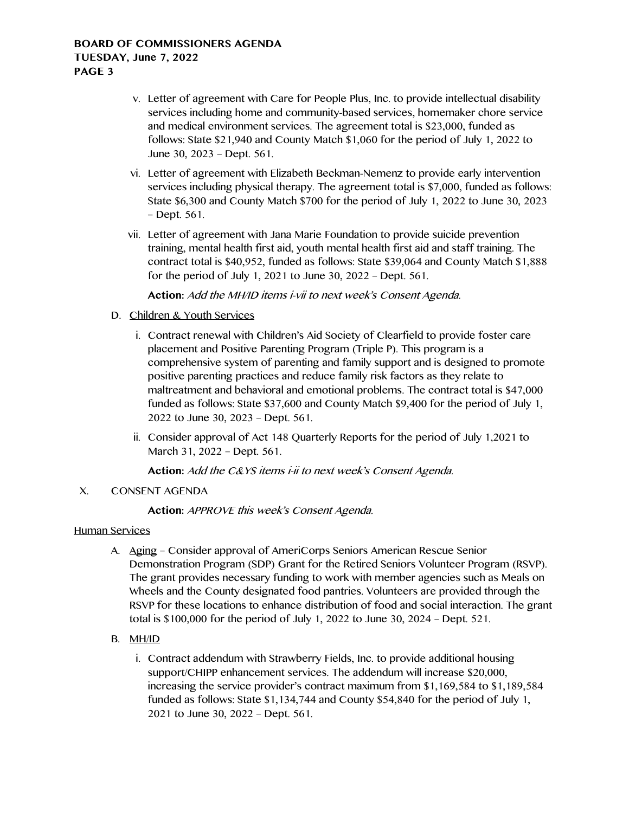- v. Letter of agreement with Care for People Plus, Inc. to provide intellectual disability services including home and community-based services, homemaker chore service and medical environment services. The agreement total is \$23,000, funded as follows: State \$21,940 and County Match \$1,060 for the period of July 1, 2022 to June 30, 2023 – Dept. 561.
- vi. Letter of agreement with Elizabeth Beckman-Nemenz to provide early intervention services including physical therapy. The agreement total is \$7,000, funded as follows: State \$6,300 and County Match \$700 for the period of July 1, 2022 to June 30, 2023 – Dept. 561.
- vii. Letter of agreement with Jana Marie Foundation to provide suicide prevention training, mental health first aid, youth mental health first aid and staff training. The contract total is \$40,952, funded as follows: State \$39,064 and County Match \$1,888 for the period of July 1, 2021 to June 30, 2022 – Dept. 561.

**Action:** Add the MH/ID items i-vii to next week's Consent Agenda.

- D. Children & Youth Services
	- i. Contract renewal with Children's Aid Society of Clearfield to provide foster care placement and Positive Parenting Program (Triple P). This program is a comprehensive system of parenting and family support and is designed to promote positive parenting practices and reduce family risk factors as they relate to maltreatment and behavioral and emotional problems. The contract total is \$47,000 funded as follows: State \$37,600 and County Match \$9,400 for the period of July 1, 2022 to June 30, 2023 – Dept. 561.
	- ii. Consider approval of Act 148 Quarterly Reports for the period of July 1,2021 to March 31, 2022 – Dept. 561.

**Action:** Add the C&YS items i-ii to next week's Consent Agenda.

X. CONSENT AGENDA

**Action:** APPROVE this week's Consent Agenda.

## Human Services

- A. Aging Consider approval of AmeriCorps Seniors American Rescue Senior Demonstration Program (SDP) Grant for the Retired Seniors Volunteer Program (RSVP). The grant provides necessary funding to work with member agencies such as Meals on Wheels and the County designated food pantries. Volunteers are provided through the RSVP for these locations to enhance distribution of food and social interaction. The grant total is \$100,000 for the period of July 1, 2022 to June 30, 2024 – Dept. 521.
- B. MH/ID
	- i. Contract addendum with Strawberry Fields, Inc. to provide additional housing support/CHIPP enhancement services. The addendum will increase \$20,000, increasing the service provider's contract maximum from \$1,169,584 to \$1,189,584 funded as follows: State \$1,134,744 and County \$54,840 for the period of July 1, 2021 to June 30, 2022 – Dept. 561.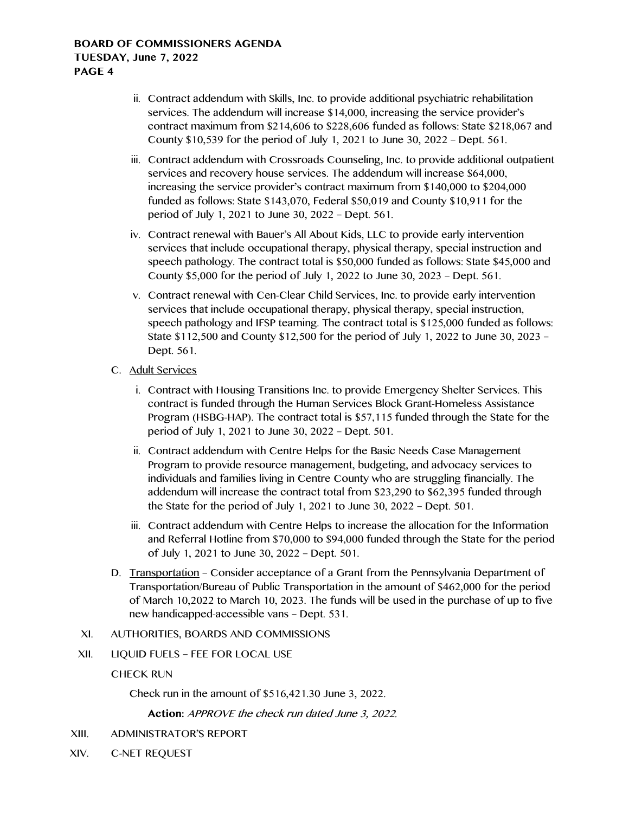- ii. Contract addendum with Skills, Inc. to provide additional psychiatric rehabilitation services. The addendum will increase \$14,000, increasing the service provider's contract maximum from \$214,606 to \$228,606 funded as follows: State \$218,067 and County \$10,539 for the period of July 1, 2021 to June 30, 2022 – Dept. 561.
- iii. Contract addendum with Crossroads Counseling, Inc. to provide additional outpatient services and recovery house services. The addendum will increase \$64,000, increasing the service provider's contract maximum from \$140,000 to \$204,000 funded as follows: State \$143,070, Federal \$50,019 and County \$10,911 for the period of July 1, 2021 to June 30, 2022 – Dept. 561.
- iv. Contract renewal with Bauer's All About Kids, LLC to provide early intervention services that include occupational therapy, physical therapy, special instruction and speech pathology. The contract total is \$50,000 funded as follows: State \$45,000 and County \$5,000 for the period of July 1, 2022 to June 30, 2023 – Dept. 561.
- v. Contract renewal with Cen-Clear Child Services, Inc. to provide early intervention services that include occupational therapy, physical therapy, special instruction, speech pathology and IFSP teaming. The contract total is \$125,000 funded as follows: State \$112,500 and County \$12,500 for the period of July 1, 2022 to June 30, 2023 – Dept. 561.
- C. Adult Services
	- i. Contract with Housing Transitions Inc. to provide Emergency Shelter Services. This contract is funded through the Human Services Block Grant-Homeless Assistance Program (HSBG-HAP). The contract total is \$57,115 funded through the State for the period of July 1, 2021 to June 30, 2022 – Dept. 501.
	- ii. Contract addendum with Centre Helps for the Basic Needs Case Management Program to provide resource management, budgeting, and advocacy services to individuals and families living in Centre County who are struggling financially. The addendum will increase the contract total from \$23,290 to \$62,395 funded through the State for the period of July 1, 2021 to June 30, 2022 – Dept. 501.
	- iii. Contract addendum with Centre Helps to increase the allocation for the Information and Referral Hotline from \$70,000 to \$94,000 funded through the State for the period of July 1, 2021 to June 30, 2022 – Dept. 501.
- D. Transportation Consider acceptance of a Grant from the Pennsylvania Department of Transportation/Bureau of Public Transportation in the amount of \$462,000 for the period of March 10,2022 to March 10, 2023. The funds will be used in the purchase of up to five new handicapped-accessible vans – Dept. 531.
- XI. AUTHORITIES, BOARDS AND COMMISSIONS
- XII. LIQUID FUELS FEE FOR LOCAL USE
	- CHECK RUN

Check run in the amount of \$516,421.30 June 3, 2022.

**Action:** APPROVE the check run dated June 3, 2022.

- XIII. ADMINISTRATOR'S REPORT
- XIV. C-NET REQUEST